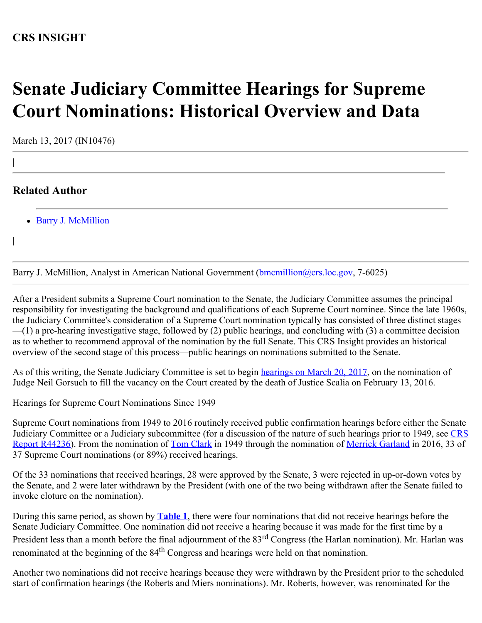## **CRS INSIGHT**

## **Senate Judiciary Committee Hearings for Supreme Court Nominations: Historical Overview and Data**

March 13, 2017 (IN10476)

## **Related Author**

|

|

• [Barry J. McMillion](http://www.crs.gov/Author/index?id=101688)

Barry J. McMillion, Analyst in American National Government (**bmcmillion@crs.loc.gov**, 7-6025)

After a President submits a Supreme Court nomination to the Senate, the Judiciary Committee assumes the principal responsibility for investigating the background and qualifications of each Supreme Court nominee. Since the late 1960s, the Judiciary Committee's consideration of a Supreme Court nomination typically has consisted of three distinct stages —(1) a pre-hearing investigative stage, followed by (2) public hearings, and concluding with (3) a committee decision as to whether to recommend approval of the nomination by the full Senate. This CRS Insight provides an historical overview of the second stage of this process—public hearings on nominations submitted to the Senate.

As of this writing, the Senate Judiciary Committee is set to begin [hearings on March 20, 2017](https://www.nytimes.com/2017/02/16/us/politics/neil-gorsuch-supreme-court-senate-hearing.html?_r=0), on the nomination of Judge Neil Gorsuch to fill the vacancy on the Court created by the death of Justice Scalia on February 13, 2016.

Hearings for Supreme Court Nominations Since 1949

Supreme Court nominations from 1949 to 2016 routinely received public confirmation hearings before either the Senate Judiciary Committee or a Judiciary subcommittee (for a discussion of the nature of such hearings prior to 1949, see [CRS](https://fas.org/sgp/crs/misc/R44236.pdf) [Report R44236\)](https://fas.org/sgp/crs/misc/R44236.pdf). From the nomination of [Tom Clark](http://www.fjc.gov/servlet/nGetInfo?jid=444&cid=999&ctype=na&instate=na) in 1949 through the nomination of [Merrick Garland](http://www.fjc.gov/servlet/nGetInfo?jid=820&cid=999&ctype=na&instate=na) in 2016, 33 of 37 Supreme Court nominations (or 89%) received hearings.

Of the 33 nominations that received hearings, 28 were approved by the Senate, 3 were rejected in up-or-down votes by the Senate, and 2 were later withdrawn by the President (with one of the two being withdrawn after the Senate failed to invoke cloture on the nomination).

During this same period, as shown by **[Table 1](http://www.crs.gov/Reports/IN10476?source=INLanding#_Ref477246640)**, there were four nominations that did not receive hearings before the Senate Judiciary Committee. One nomination did not receive a hearing because it was made for the first time by a President less than a month before the final adjournment of the 83<sup>rd</sup> Congress (the Harlan nomination). Mr. Harlan was renominated at the beginning of the 84<sup>th</sup> Congress and hearings were held on that nomination.

Another two nominations did not receive hearings because they were withdrawn by the President prior to the scheduled start of confirmation hearings (the Roberts and Miers nominations). Mr. Roberts, however, was renominated for the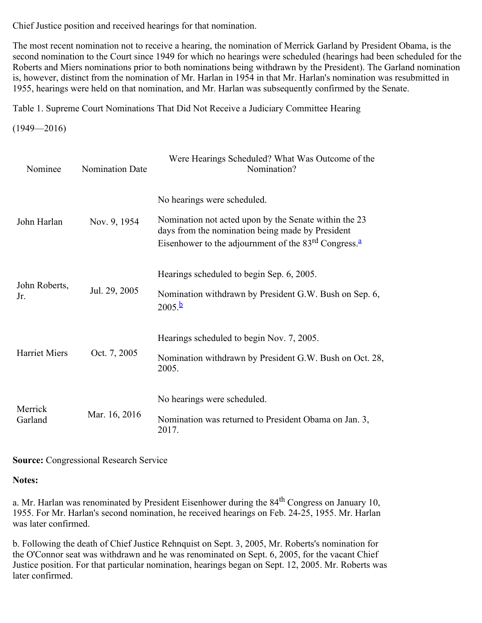Chief Justice position and received hearings for that nomination.

The most recent nomination not to receive a hearing, the nomination of Merrick Garland by President Obama, is the second nomination to the Court since 1949 for which no hearings were scheduled (hearings had been scheduled for the Roberts and Miers nominations prior to both nominations being withdrawn by the President). The Garland nomination is, however, distinct from the nomination of Mr. Harlan in 1954 in that Mr. Harlan's nomination was resubmitted in 1955, hearings were held on that nomination, and Mr. Harlan was subsequently confirmed by the Senate.

Table 1. Supreme Court Nominations That Did Not Receive a Judiciary Committee Hearing

 $(1949 - 2016)$ 

| Nominee              | <b>Nomination Date</b> | Were Hearings Scheduled? What Was Outcome of the<br>Nomination?                                                                                                                                                |
|----------------------|------------------------|----------------------------------------------------------------------------------------------------------------------------------------------------------------------------------------------------------------|
| John Harlan          | Nov. 9, 1954           | No hearings were scheduled.<br>Nomination not acted upon by the Senate within the 23<br>days from the nomination being made by President<br>Eisenhower to the adjournment of the $83rd$ Congress. <sup>a</sup> |
| John Roberts,<br>Jr. | Jul. 29, 2005          | Hearings scheduled to begin Sep. 6, 2005.<br>Nomination withdrawn by President G.W. Bush on Sep. 6,<br>$2005 \frac{b}{2}$                                                                                      |
| Harriet Miers        | Oct. 7, 2005           | Hearings scheduled to begin Nov. 7, 2005.<br>Nomination withdrawn by President G.W. Bush on Oct. 28,<br>2005.                                                                                                  |
| Merrick<br>Garland   | Mar. 16, 2016          | No hearings were scheduled.<br>Nomination was returned to President Obama on Jan. 3,<br>2017.                                                                                                                  |

**Source:** Congressional Research Service

**Notes:**

a. Mr. Harlan was renominated by President Eisenhower during the 84<sup>th</sup> Congress on January 10, 1955. For Mr. Harlan's second nomination, he received hearings on Feb. 24-25, 1955. Mr. Harlan was later confirmed.

b. Following the death of Chief Justice Rehnquist on Sept. 3, 2005, Mr. Roberts's nomination for the O'Connor seat was withdrawn and he was renominated on Sept. 6, 2005, for the vacant Chief Justice position. For that particular nomination, hearings began on Sept. 12, 2005. Mr. Roberts was later confirmed.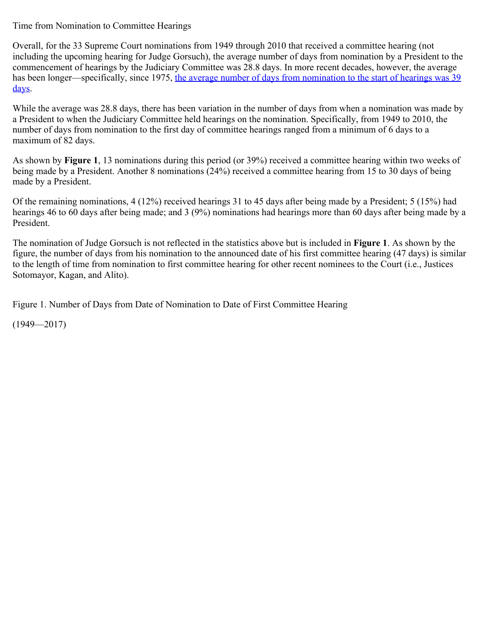Time from Nomination to Committee Hearings

Overall, for the 33 Supreme Court nominations from 1949 through 2010 that received a committee hearing (not including the upcoming hearing for Judge Gorsuch), the average number of days from nomination by a President to the commencement of hearings by the Judiciary Committee was 28.8 days. In more recent decades, however, the average has been longer—specifically, since 1975, [the average number of days from nomination to the start of hearings was 39](https://fas.org/sgp/crs/misc/R44236.pdf) [days.](https://fas.org/sgp/crs/misc/R44236.pdf)

While the average was 28.8 days, there has been variation in the number of days from when a nomination was made by a President to when the Judiciary Committee held hearings on the nomination. Specifically, from 1949 to 2010, the number of days from nomination to the first day of committee hearings ranged from a minimum of 6 days to a maximum of 82 days.

As shown by **Figure 1**, 13 nominations during this period (or 39%) received a committee hearing within two weeks of being made by a President. Another 8 nominations (24%) received a committee hearing from 15 to 30 days of being made by a President.

Of the remaining nominations, 4 (12%) received hearings 31 to 45 days after being made by a President; 5 (15%) had hearings 46 to 60 days after being made; and 3 (9%) nominations had hearings more than 60 days after being made by a President.

The nomination of Judge Gorsuch is not reflected in the statistics above but is included in **Figure 1**. As shown by the figure, the number of days from his nomination to the announced date of his first committee hearing (47 days) is similar to the length of time from nomination to first committee hearing for other recent nominees to the Court (i.e., Justices Sotomayor, Kagan, and Alito).

Figure 1. Number of Days from Date of Nomination to Date of First Committee Hearing

(1949—2017)